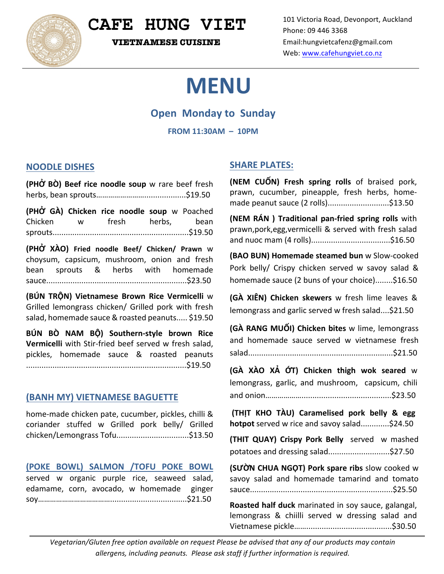

## **CAFE HUNG VIET**

 **VIETNAMESE CUISINE**

# **MENU**

### **Open Monday to Sunday**

**FROM 11:30AM – 10PM**

#### **NOODLE DISHES**

**(PHỞ BÒ) Beef rice noodle soup** w rare beef fresh herbs, bean sprouts……………………...................\$19.50

**(PHỞ GÀ) Chicken rice noodle soup** w Poached Chicken w fresh herbs, bean sprouts..............................................................\$19.50

**(PHỞ XÀO) Fried noodle Beef/ Chicken/ Prawn**  w choysum, capsicum, mushroom, onion and fresh bean sprouts & herbs with homemade sauce................................................................\$23.50

**(BÚN TRỘN) Vietnamese Brown Rice Vermicelli**  w Grilled lemongrass chicken/ Grilled pork with fresh salad, homemade sauce & roasted peanuts..... \$19.50

**BÚN BÒ NAM BỘ) Southern-style brown Rice Vermicelli** with Stir-fried beef served w fresh salad. pickles, homemade sauce & roasted peanuts .........................................................................\$19.50

#### **(BANH MY) VIETNAMESE BAGUETTE**

home-made chicken pate, cucumber, pickles, chilli & coriander stuffed w Grilled pork belly/ Grilled chicken/Lemongrass Tofu.................................\$13.50

#### **(POKE BOWL) SALMON /TOFU POKE BOWL**

served w organic purple rice, seaweed salad, edamame, corn, avocado, w homemade ginger soy………………………………...................................\$21.50

#### **SHARE PLATES:**

**(NEM CUỐN) Fresh spring rolls** of braised pork, prawn, cucumber, pineapple, fresh herbs, homemade peanut sauce (2 rolls).............................\$13.50

**(NEM RÁN) Traditional pan-fried spring rolls** with prawn,pork,egg, vermicelli & served with fresh salad and nuoc mam (4 rolls)....................................\$16.50

**(BAO BUN) Homemade steamed bun** w Slow-cooked Pork belly/ Crispy chicken served w savoy salad & homemade sauce (2 buns of your choice)........\$16.50

**(GÀ XIÊN) Chicken skewers** w fresh lime leaves & lemongrass and garlic served w fresh salad....\$21.50

**(GÀ RANG MUỐI) Chicken bites** w lime, lemongrass and homemade sauce served w vietnamese fresh salad..................................................................\$21.50

**(GÀ XÀO XẢ ỚT) Chicken thigh wok seared** w lemongrass, garlic, and mushroom, capsicum, chili and onion……………….........................................\$23.50

**(THỊT KHO TÀU) Caramelised pork belly & egg hotpot** served w rice and savoy salad.............\$24.50

**(THIT QUAY) Crispy Pork Belly** served w mashed potatoes and dressing salad.............................\$27.50

**(SƯỜN CHUA NGỌT) Pork spare ribs** slow cooked w savoy salad and homemade tamarind and tomato sauce.................................................................\$25.50

**Roasted half duck** marinated in soy sauce, galangal, lemongrass & chiilli served w dressing salad and Vietnamese pickle…….......................................\$30.50

Vegetarian/Gluten free option available on request Please be advised that any of our products may contain allergens, including peanuts. Please ask staff if further information is required.